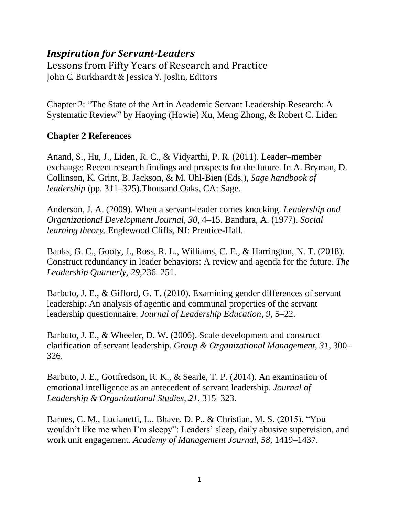## *Inspiration for Servant-Leaders*

Lessons from Fifty Years of Research and Practice John C. Burkhardt & Jessica Y. Joslin, Editors

Chapter 2: "The State of the Art in Academic Servant Leadership Research: A Systematic Review" by Haoying (Howie) Xu, Meng Zhong, & Robert C. Liden

## **Chapter 2 References**

Anand, S., Hu, J., Liden, R. C., & Vidyarthi, P. R. (2011). Leader–member exchange: Recent research findings and prospects for the future. In A. Bryman, D. Collinson, K. Grint, B. Jackson, & M. Uhl-Bien (Eds.), *Sage handbook of leadership* (pp. 311–325).Thousand Oaks, CA: Sage.

Anderson, J. A. (2009). When a servant-leader comes knocking. *Leadership and Organizational Development Journal, 30*, 4–15. Bandura, A. (1977). *Social learning theory.* Englewood Cliffs, NJ: Prentice-Hall.

Banks, G. C., Gooty, J., Ross, R. L., Williams, C. E., & Harrington, N. T. (2018). Construct redundancy in leader behaviors: A review and agenda for the future. *The Leadership Quarterly, 29,*236–251.

Barbuto, J. E., & Gifford, G. T. (2010). Examining gender differences of servant leadership: An analysis of agentic and communal properties of the servant leadership questionnaire. *Journal of Leadership Education, 9*, 5–22.

Barbuto, J. E., & Wheeler, D. W. (2006). Scale development and construct clarification of servant leadership. *Group & Organizational Management, 31*, 300– 326.

Barbuto, J. E., Gottfredson, R. K., & Searle, T. P. (2014). An examination of emotional intelligence as an antecedent of servant leadership. *Journal of Leadership & Organizational Studies, 21*, 315–323.

Barnes, C. M., Lucianetti, L., Bhave, D. P., & Christian, M. S. (2015). "You wouldn't like me when I'm sleepy": Leaders' sleep, daily abusive supervision, and work unit engagement. *Academy of Management Journal, 58,* 1419–1437.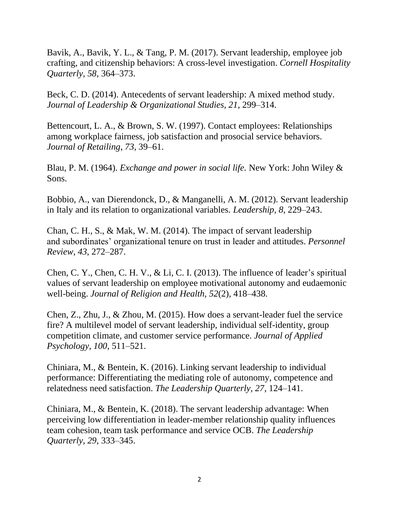Bavik, A., Bavik, Y. L., & Tang, P. M. (2017). Servant leadership, employee job crafting, and citizenship behaviors: A cross-level investigation. *Cornell Hospitality Quarterly, 58*, 364–373.

Beck, C. D. (2014). Antecedents of servant leadership: A mixed method study. *Journal of Leadership & Organizational Studies, 21*, 299–314.

Bettencourt, L. A., & Brown, S. W. (1997). Contact employees: Relationships among workplace fairness, job satisfaction and prosocial service behaviors. *Journal of Retailing*, *73*, 39–61.

Blau, P. M. (1964). *Exchange and power in social life.* New York: John Wiley & Sons.

Bobbio, A., van Dierendonck, D., & Manganelli, A. M. (2012). Servant leadership in Italy and its relation to organizational variables. *Leadership, 8*, 229–243.

Chan, C. H., S., & Mak, W. M. (2014). The impact of servant leadership and subordinates' organizational tenure on trust in leader and attitudes. *Personnel Review, 43*, 272–287.

Chen, C. Y., Chen, C. H. V., & Li, C. I. (2013). The influence of leader's spiritual values of servant leadership on employee motivational autonomy and eudaemonic well-being. *Journal of Religion and Health, 52*(2), 418–438.

Chen, Z., Zhu, J., & Zhou, M. (2015). How does a servant-leader fuel the service fire? A multilevel model of servant leadership, individual self-identity, group competition climate, and customer service performance. *Journal of Applied Psychology, 100*, 511–521.

Chiniara, M., & Bentein, K. (2016). Linking servant leadership to individual performance: Differentiating the mediating role of autonomy, competence and relatedness need satisfaction. *The Leadership Quarterly, 27*, 124–141.

Chiniara, M., & Bentein, K. (2018). The servant leadership advantage: When perceiving low differentiation in leader-member relationship quality influences team cohesion, team task performance and service OCB. *The Leadership Quarterly, 29*, 333–345.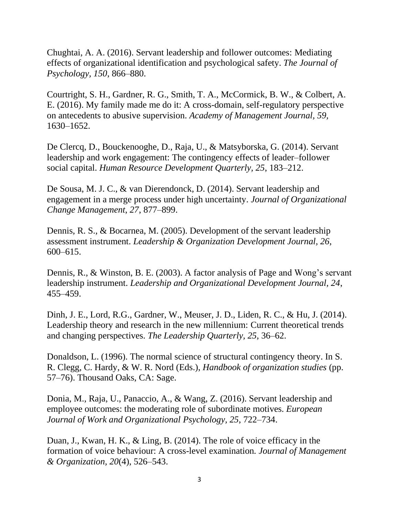Chughtai, A. A. (2016). Servant leadership and follower outcomes: Mediating effects of organizational identification and psychological safety. *The Journal of Psychology, 150*, 866–880.

Courtright, S. H., Gardner, R. G., Smith, T. A., McCormick, B. W., & Colbert, A. E. (2016). My family made me do it: A cross-domain, self-regulatory perspective on antecedents to abusive supervision. *Academy of Management Journal, 59,* 1630–1652.

De Clercq, D., Bouckenooghe, D., Raja, U., & Matsyborska, G. (2014). Servant leadership and work engagement: The contingency effects of leader–follower social capital. *Human Resource Development Quarterly, 25*, 183–212.

De Sousa, M. J. C., & van Dierendonck, D. (2014). Servant leadership and engagement in a merge process under high uncertainty. *Journal of Organizational Change Management*, *27*, 877–899.

Dennis, R. S., & Bocarnea, M. (2005). Development of the servant leadership assessment instrument. *Leadership & Organization Development Journal, 26*, 600–615.

Dennis, R., & Winston, B. E. (2003). A factor analysis of Page and Wong's servant leadership instrument. *Leadership and Organizational Development Journal, 24*, 455–459.

Dinh, J. E., Lord, R.G., Gardner, W., Meuser, J. D., Liden, R. C., & Hu, J. (2014). Leadership theory and research in the new millennium: Current theoretical trends and changing perspectives. *The Leadership Quarterly, 25*, 36–62.

Donaldson, L. (1996). The normal science of structural contingency theory. In S. R. Clegg, C. Hardy, & W. R. Nord (Eds.), *Handbook of organization studies* (pp. 57–76). Thousand Oaks, CA: Sage.

Donia, M., Raja, U., Panaccio, A., & Wang, Z. (2016). Servant leadership and employee outcomes: the moderating role of subordinate motives. *European Journal of Work and Organizational Psychology, 25*, 722–734.

Duan, J., Kwan, H. K., & Ling, B. (2014). The role of voice efficacy in the formation of voice behaviour: A cross-level examination*. Journal of Management & Organization, 20*(4), 526–543.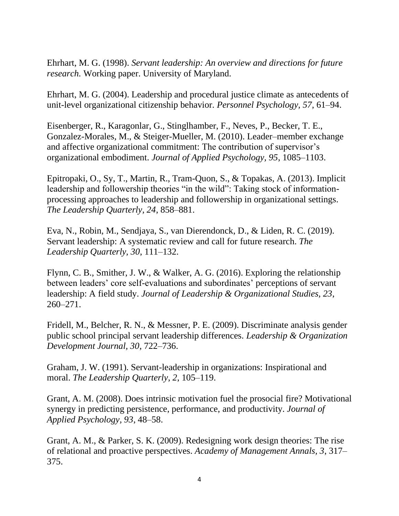Ehrhart, M. G. (1998). *Servant leadership: An overview and directions for future research.* Working paper. University of Maryland.

Ehrhart, M. G. (2004). Leadership and procedural justice climate as antecedents of unit-level organizational citizenship behavior. *Personnel Psychology, 57*, 61–94.

Eisenberger, R., Karagonlar, G., Stinglhamber, F., Neves, P., Becker, T. E., Gonzalez-Morales, M., & Steiger-Mueller, M. (2010). Leader–member exchange and affective organizational commitment: The contribution of supervisor's organizational embodiment. *Journal of Applied Psychology, 95*, 1085–1103.

Epitropaki, O., Sy, T., Martin, R., Tram-Quon, S., & Topakas, A. (2013). Implicit leadership and followership theories "in the wild": Taking stock of informationprocessing approaches to leadership and followership in organizational settings. *The Leadership Quarterly, 24*, 858–881.

Eva, N., Robin, M., Sendjaya, S., van Dierendonck, D., & Liden, R. C. (2019). Servant leadership: A systematic review and call for future research. *The Leadership Quarterly, 30*, 111–132.

Flynn, C. B., Smither, J. W., & Walker, A. G. (2016). Exploring the relationship between leaders' core self-evaluations and subordinates' perceptions of servant leadership: A field study. *Journal of Leadership & Organizational Studies, 23*, 260–271.

Fridell, M., Belcher, R. N., & Messner, P. E. (2009). Discriminate analysis gender public school principal servant leadership differences. *Leadership & Organization Development Journal, 30*, 722–736.

Graham, J. W. (1991). Servant-leadership in organizations: Inspirational and moral. *The Leadership Quarterly*, *2*, 105–119.

Grant, A. M. (2008). Does intrinsic motivation fuel the prosocial fire? Motivational synergy in predicting persistence, performance, and productivity. *Journal of Applied Psychology, 93*, 48–58.

Grant, A. M., & Parker, S. K. (2009). Redesigning work design theories: The rise of relational and proactive perspectives. *Academy of Management Annals, 3*, 317– 375.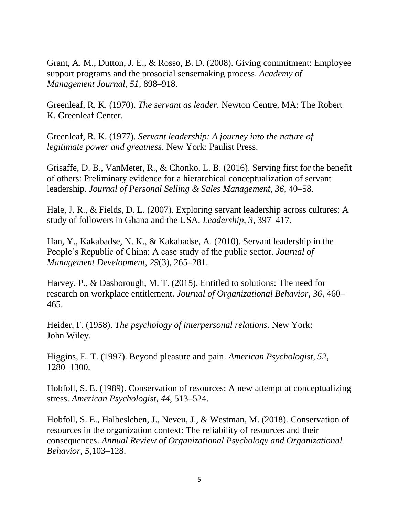Grant, A. M., Dutton, J. E., & Rosso, B. D. (2008). Giving commitment: Employee support programs and the prosocial sensemaking process. *Academy of Management Journal, 51,* 898–918.

Greenleaf, R. K. (1970). *The servant as leader.* Newton Centre, MA: The Robert K. Greenleaf Center.

Greenleaf, R. K. (1977). *Servant leadership: A journey into the nature of legitimate power and greatness.* New York: Paulist Press.

Grisaffe, D. B., VanMeter, R., & Chonko, L. B. (2016). Serving first for the benefit of others: Preliminary evidence for a hierarchical conceptualization of servant leadership. *Journal of Personal Selling & Sales Management, 36*, 40–58.

Hale, J. R., & Fields, D. L. (2007). Exploring servant leadership across cultures: A study of followers in Ghana and the USA. *Leadership, 3*, 397–417.

Han, Y., Kakabadse, N. K., & Kakabadse, A. (2010). Servant leadership in the People's Republic of China: A case study of the public sector. *Journal of Management Development, 29*(3), 265–281.

Harvey, P., & Dasborough, M. T. (2015). Entitled to solutions: The need for research on workplace entitlement. *Journal of Organizational Behavior, 36*, 460– 465.

Heider, F. (1958). *The psychology of interpersonal relations*. New York: John Wiley.

Higgins, E. T. (1997). Beyond pleasure and pain. *American Psychologist, 52*, 1280–1300.

Hobfoll, S. E. (1989). Conservation of resources: A new attempt at conceptualizing stress. *American Psychologist*, *44*, 513–524.

Hobfoll, S. E., Halbesleben, J., Neveu, J., & Westman, M. (2018). Conservation of resources in the organization context: The reliability of resources and their consequences. *Annual Review of Organizational Psychology and Organizational Behavior, 5,*103–128.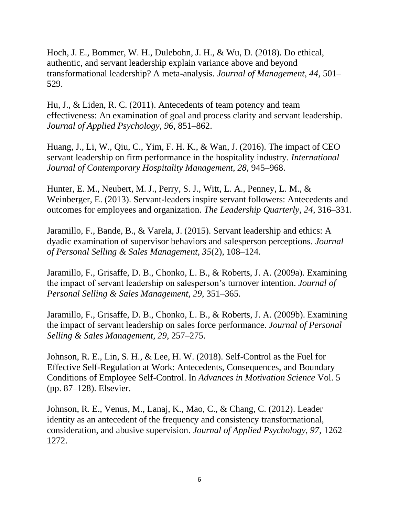Hoch, J. E., Bommer, W. H., Dulebohn, J. H., & Wu, D. (2018). Do ethical, authentic, and servant leadership explain variance above and beyond transformational leadership? A meta-analysis. *Journal of Management, 44*, 501– 529.

Hu, J., & Liden, R. C. (2011). Antecedents of team potency and team effectiveness: An examination of goal and process clarity and servant leadership. *Journal of Applied Psychology, 96*, 851–862.

Huang, J., Li, W., Qiu, C., Yim, F. H. K., & Wan, J. (2016). The impact of CEO servant leadership on firm performance in the hospitality industry. *International Journal of Contemporary Hospitality Management, 28*, 945–968.

Hunter, E. M., Neubert, M. J., Perry, S. J., Witt, L. A., Penney, L. M., & Weinberger, E. (2013). Servant-leaders inspire servant followers: Antecedents and outcomes for employees and organization. *The Leadership Quarterly, 24*, 316–331.

Jaramillo, F., Bande, B., & Varela, J. (2015). Servant leadership and ethics: A dyadic examination of supervisor behaviors and salesperson perceptions. *Journal of Personal Selling & Sales Management, 35*(2), 108–124.

Jaramillo, F., Grisaffe, D. B., Chonko, L. B., & Roberts, J. A. (2009a). Examining the impact of servant leadership on salesperson's turnover intention. *Journal of Personal Selling & Sales Management, 29*, 351–365.

Jaramillo, F., Grisaffe, D. B., Chonko, L. B., & Roberts, J. A. (2009b). Examining the impact of servant leadership on sales force performance. *Journal of Personal Selling & Sales Management, 29*, 257–275.

Johnson, R. E., Lin, S. H., & Lee, H. W. (2018). Self-Control as the Fuel for Effective Self-Regulation at Work: Antecedents, Consequences, and Boundary Conditions of Employee Self-Control. In *Advances in Motivation Science* Vol. 5 (pp. 87–128). Elsevier.

Johnson, R. E., Venus, M., Lanaj, K., Mao, C., & Chang, C. (2012). Leader identity as an antecedent of the frequency and consistency transformational, consideration, and abusive supervision. *Journal of Applied Psychology, 97,* 1262– 1272.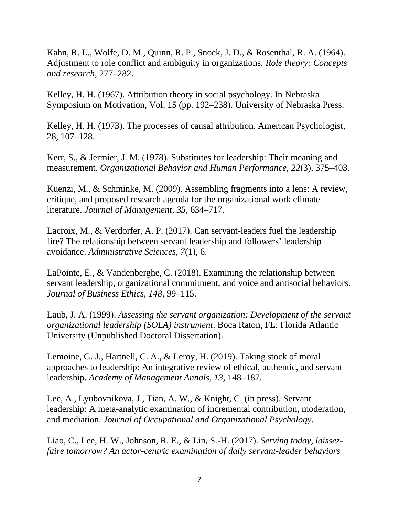Kahn, R. L., Wolfe, D. M., Quinn, R. P., Snoek, J. D., & Rosenthal, R. A. (1964). Adjustment to role conflict and ambiguity in organizations. *Role theory: Concepts and research*, 277–282.

Kelley, H. H. (1967). Attribution theory in social psychology. In Nebraska Symposium on Motivation, Vol. 15 (pp. 192–238). University of Nebraska Press.

Kelley, H. H. (1973). The processes of causal attribution. American Psychologist, 28, 107–128.

Kerr, S., & Jermier, J. M. (1978). Substitutes for leadership: Their meaning and measurement. *Organizational Behavior and Human Performance, 22*(3), 375–403.

Kuenzi, M., & Schminke, M. (2009). Assembling fragments into a lens: A review, critique, and proposed research agenda for the organizational work climate literature. *Journal of Management, 35*, 634–717.

Lacroix, M., & Verdorfer, A. P. (2017). Can servant-leaders fuel the leadership fire? The relationship between servant leadership and followers' leadership avoidance. *Administrative Sciences, 7*(1), 6.

LaPointe, É., & Vandenberghe, C. (2018). Examining the relationship between servant leadership, organizational commitment, and voice and antisocial behaviors. *Journal of Business Ethics, 148*, 99–115.

Laub, J. A. (1999). *Assessing the servant organization: Development of the servant organizational leadership (SOLA) instrument*. Boca Raton, FL: Florida Atlantic University (Unpublished Doctoral Dissertation).

Lemoine, G. J., Hartnell, C. A., & Leroy, H. (2019). Taking stock of moral approaches to leadership: An integrative review of ethical, authentic, and servant leadership. *Academy of Management Annals, 13,* 148–187.

Lee, A., Lyubovnikova, J., Tian, A. W., & Knight, C. (in press). Servant leadership: A meta-analytic examination of incremental contribution, moderation, and mediation. *Journal of Occupational and Organizational Psychology.*

Liao, C., Lee, H. W., Johnson, R. E., & Lin, S.-H. (2017). *Serving today, laissezfaire tomorrow? An actor-centric examination of daily servant-leader behaviors*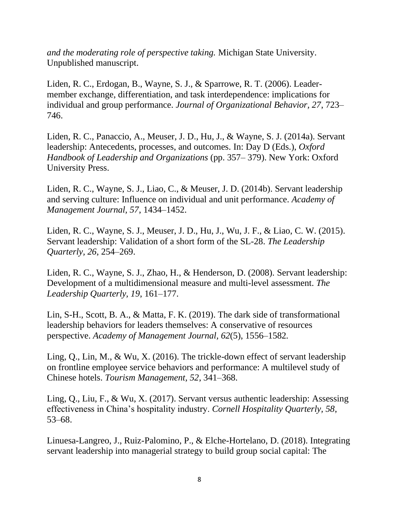*and the moderating role of perspective taking.* Michigan State University. Unpublished manuscript.

Liden, R. C., Erdogan, B., Wayne, S. J., & Sparrowe, R. T. (2006). Leader‐ member exchange, differentiation, and task interdependence: implications for individual and group performance. *Journal of Organizational Behavior, 27*, 723– 746.

Liden, R. C., Panaccio, A., Meuser, J. D., Hu, J., & Wayne, S. J. (2014a). Servant leadership: Antecedents, processes, and outcomes. In: Day D (Eds.), *Oxford Handbook of Leadership and Organizations* (pp. 357– 379). New York: Oxford University Press.

Liden, R. C., Wayne, S. J., Liao, C., & Meuser, J. D. (2014b). Servant leadership and serving culture: Influence on individual and unit performance. *Academy of Management Journal, 57*, 1434–1452.

Liden, R. C., Wayne, S. J., Meuser, J. D., Hu, J., Wu, J. F., & Liao, C. W. (2015). Servant leadership: Validation of a short form of the SL-28. *The Leadership Quarterly, 26*, 254–269.

Liden, R. C., Wayne, S. J., Zhao, H., & Henderson, D. (2008). Servant leadership: Development of a multidimensional measure and multi-level assessment. *The Leadership Quarterly, 19*, 161–177.

Lin, S-H., Scott, B. A., & Matta, F. K. (2019). The dark side of transformational leadership behaviors for leaders themselves: A conservative of resources perspective. *Academy of Management Journal, 62*(5), 1556–1582*.*

Ling, Q., Lin, M., & Wu, X. (2016). The trickle-down effect of servant leadership on frontline employee service behaviors and performance: A multilevel study of Chinese hotels. *Tourism Management, 52*, 341–368.

Ling, Q., Liu, F., & Wu, X. (2017). Servant versus authentic leadership: Assessing effectiveness in China's hospitality industry. *Cornell Hospitality Quarterly, 58*, 53–68.

Linuesa-Langreo, J., Ruiz-Palomino, P., & Elche-Hortelano, D. (2018). Integrating servant leadership into managerial strategy to build group social capital: The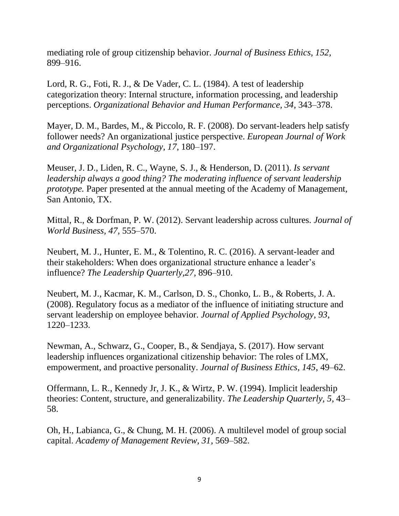mediating role of group citizenship behavior. *Journal of Business Ethics, 152,*  899–916.

Lord, R. G., Foti, R. J., & De Vader, C. L. (1984). A test of leadership categorization theory: Internal structure, information processing, and leadership perceptions. *Organizational Behavior and Human Performance, 34*, 343–378.

Mayer, D. M., Bardes, M., & Piccolo, R. F. (2008). Do servant-leaders help satisfy follower needs? An organizational justice perspective. *European Journal of Work and Organizational Psychology, 17*, 180–197.

Meuser, J. D., Liden, R. C., Wayne, S. J., & Henderson, D. (2011). *Is servant leadership always a good thing? The moderating influence of servant leadership prototype*. Paper presented at the annual meeting of the Academy of Management, San Antonio, TX.

Mittal, R., & Dorfman, P. W. (2012). Servant leadership across cultures. *Journal of World Business, 47*, 555–570.

Neubert, M. J., Hunter, E. M., & Tolentino, R. C. (2016). A servant-leader and their stakeholders: When does organizational structure enhance a leader's influence? *The Leadership Quarterly,27*, 896–910.

Neubert, M. J., Kacmar, K. M., Carlson, D. S., Chonko, L. B., & Roberts, J. A. (2008). Regulatory focus as a mediator of the influence of initiating structure and servant leadership on employee behavior. *Journal of Applied Psychology, 93*, 1220–1233.

Newman, A., Schwarz, G., Cooper, B., & Sendjaya, S. (2017). How servant leadership influences organizational citizenship behavior: The roles of LMX, empowerment, and proactive personality. *Journal of Business Ethics, 145*, 49–62.

Offermann, L. R., Kennedy Jr, J. K., & Wirtz, P. W. (1994). Implicit leadership theories: Content, structure, and generalizability. *The Leadership Quarterly, 5*, 43– 58.

Oh, H., Labianca, G., & Chung, M. H. (2006). A multilevel model of group social capital. *Academy of Management Review, 31*, 569–582.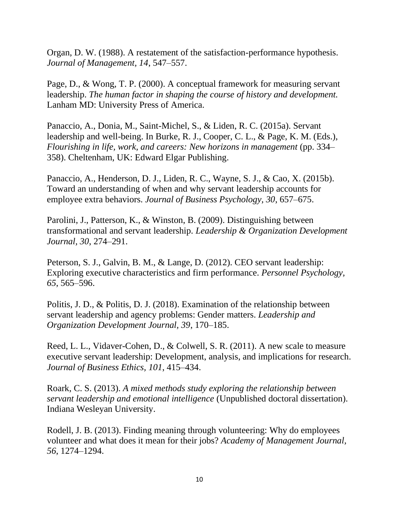Organ, D. W. (1988). A restatement of the satisfaction-performance hypothesis. *Journal of Management, 14*, 547–557.

Page, D., & Wong, T. P. (2000). A conceptual framework for measuring servant leadership. *The human factor in shaping the course of history and development.*  Lanham MD: University Press of America.

Panaccio, A., Donia, M., Saint-Michel, S., & Liden, R. C. (2015a). Servant leadership and well-being. In Burke, R. J., Cooper, C. L., & Page, K. M. (Eds.), *Flourishing in life, work, and careers: New horizons in management* (pp. 334– 358). Cheltenham, UK: Edward Elgar Publishing.

Panaccio, A., Henderson, D. J., Liden, R. C., Wayne, S. J., & Cao, X. (2015b). Toward an understanding of when and why servant leadership accounts for employee extra behaviors. *Journal of Business Psychology, 30*, 657–675.

Parolini, J., Patterson, K., & Winston, B. (2009). Distinguishing between transformational and servant leadership. *Leadership & Organization Development Journal, 30*, 274–291.

Peterson, S. J., Galvin, B. M., & Lange, D. (2012). CEO servant leadership: Exploring executive characteristics and firm performance. *Personnel Psychology, 65*, 565–596.

Politis, J. D., & Politis, D. J. (2018). Examination of the relationship between servant leadership and agency problems: Gender matters. *Leadership and Organization Development Journal, 39*, 170–185.

Reed, L. L., Vidaver-Cohen, D., & Colwell, S. R. (2011). A new scale to measure executive servant leadership: Development, analysis, and implications for research. *Journal of Business Ethics, 101*, 415–434.

Roark, C. S. (2013). *A mixed methods study exploring the relationship between servant leadership and emotional intelligence* (Unpublished doctoral dissertation). Indiana Wesleyan University.

Rodell, J. B. (2013). Finding meaning through volunteering: Why do employees volunteer and what does it mean for their jobs? *Academy of Management Journal, 56*, 1274–1294.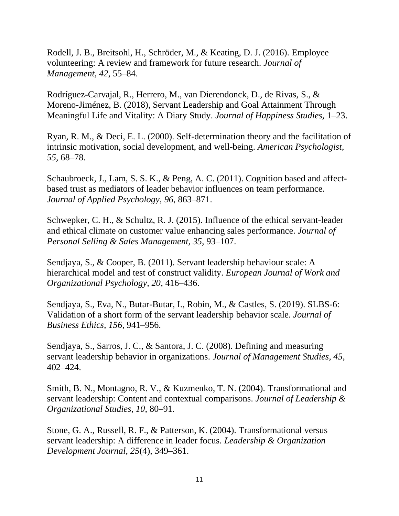Rodell, J. B., Breitsohl, H., Schröder, M., & Keating, D. J. (2016). Employee volunteering: A review and framework for future research. *Journal of Management, 42*, 55–84.

Rodríguez-Carvajal, R., Herrero, M., van Dierendonck, D., de Rivas, S., & Moreno-Jiménez, B. (2018), Servant Leadership and Goal Attainment Through Meaningful Life and Vitality: A Diary Study. *Journal of Happiness Studies,* 1–23.

Ryan, R. M., & Deci, E. L. (2000). Self-determination theory and the facilitation of intrinsic motivation, social development, and well-being. *American Psychologist, 55*, 68–78.

Schaubroeck, J., Lam, S. S. K., & Peng, A. C. (2011). Cognition based and affectbased trust as mediators of leader behavior influences on team performance. *Journal of Applied Psychology, 96*, 863–871.

Schwepker, C. H., & Schultz, R. J. (2015). Influence of the ethical servant-leader and ethical climate on customer value enhancing sales performance. *Journal of Personal Selling & Sales Management, 35*, 93–107.

Sendjaya, S., & Cooper, B. (2011). Servant leadership behaviour scale: A hierarchical model and test of construct validity. *European Journal of Work and Organizational Psychology, 20*, 416–436.

Sendjaya, S., Eva, N., Butar-Butar, I., Robin, M., & Castles, S. (2019). SLBS-6: Validation of a short form of the servant leadership behavior scale. *Journal of Business Ethics, 156,* 941–956.

Sendjaya, S., Sarros, J. C., & Santora, J. C. (2008). Defining and measuring servant leadership behavior in organizations. *Journal of Management Studies, 45*, 402–424.

Smith, B. N., Montagno, R. V., & Kuzmenko, T. N. (2004). Transformational and servant leadership: Content and contextual comparisons. *Journal of Leadership & Organizational Studies, 10*, 80–91.

Stone, G. A., Russell, R. F., & Patterson, K. (2004). Transformational versus servant leadership: A difference in leader focus. *Leadership & Organization Development Journal*, *25*(4), 349–361.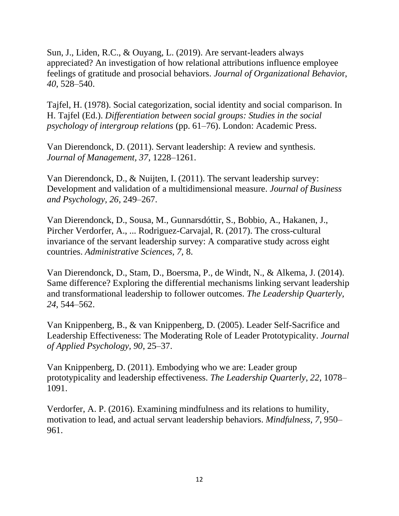Sun, J., Liden, R.C., & Ouyang, L. (2019). Are servant-leaders always appreciated? An investigation of how relational attributions influence employee feelings of gratitude and prosocial behaviors. *Journal of Organizational Behavio*r, *40,* 528–540.

Tajfel, H. (1978). Social categorization, social identity and social comparison. In H. Tajfel (Ed.). *Differentiation between social groups: Studies in the social psychology of intergroup relations* (pp. 61–76). London: Academic Press.

Van Dierendonck, D. (2011). Servant leadership: A review and synthesis. *Journal of Management, 37*, 1228–1261.

Van Dierendonck, D., & Nuijten, I. (2011). The servant leadership survey: Development and validation of a multidimensional measure. *Journal of Business and Psychology, 26*, 249–267.

Van Dierendonck, D., Sousa, M., Gunnarsdóttir, S., Bobbio, A., Hakanen, J., Pircher Verdorfer, A., ... Rodriguez-Carvajal, R. (2017). The cross-cultural invariance of the servant leadership survey: A comparative study across eight countries. *Administrative Sciences, 7,* 8.

Van Dierendonck, D., Stam, D., Boersma, P., de Windt, N., & Alkema, J. (2014). Same difference? Exploring the differential mechanisms linking servant leadership and transformational leadership to follower outcomes. *The Leadership Quarterly, 24*, 544–562.

Van Knippenberg, B., & van Knippenberg, D. (2005). Leader Self-Sacrifice and Leadership Effectiveness: The Moderating Role of Leader Prototypicality. *Journal of Applied Psychology, 90*, 25–37.

Van Knippenberg, D. (2011). Embodying who we are: Leader group prototypicality and leadership effectiveness. *The Leadership Quarterly*, *22*, 1078– 1091.

Verdorfer, A. P. (2016). Examining mindfulness and its relations to humility, motivation to lead, and actual servant leadership behaviors. *Mindfulness, 7*, 950– 961.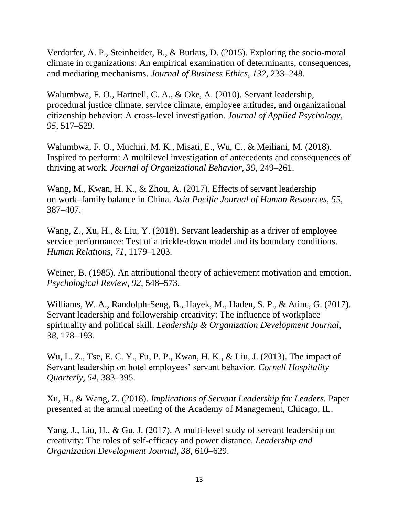Verdorfer, A. P., Steinheider, B., & Burkus, D. (2015). Exploring the socio-moral climate in organizations: An empirical examination of determinants, consequences, and mediating mechanisms. *Journal of Business Ethics, 132*, 233–248.

Walumbwa, F. O., Hartnell, C. A., & Oke, A. (2010). Servant leadership, procedural justice climate, service climate, employee attitudes, and organizational citizenship behavior: A cross-level investigation. *Journal of Applied Psychology, 95*, 517–529.

Walumbwa, F. O., Muchiri, M. K., Misati, E., Wu, C., & Meiliani, M. (2018). Inspired to perform: A multilevel investigation of antecedents and consequences of thriving at work. *Journal of Organizational Behavior, 39*, 249–261.

Wang, M., Kwan, H. K., & Zhou, A. (2017). Effects of servant leadership on work–family balance in China. *Asia Pacific Journal of Human Resources, 55*, 387–407.

Wang, Z., Xu, H., & Liu, Y. (2018). Servant leadership as a driver of employee service performance: Test of a trickle-down model and its boundary conditions. *Human Relations, 71*, 1179–1203.

Weiner, B. (1985). An attributional theory of achievement motivation and emotion. *Psychological Review*, *92*, 548–573.

Williams, W. A., Randolph-Seng, B., Hayek, M., Haden, S. P., & Atinc, G. (2017). Servant leadership and followership creativity: The influence of workplace spirituality and political skill. *Leadership & Organization Development Journal, 38*, 178–193.

Wu, L. Z., Tse, E. C. Y., Fu, P. P., Kwan, H. K., & Liu, J. (2013). The impact of Servant leadership on hotel employees' servant behavior. *Cornell Hospitality Quarterly, 54*, 383–395.

Xu, H., & Wang, Z. (2018). *Implications of Servant Leadership for Leaders.* Paper presented at the annual meeting of the Academy of Management, Chicago, IL.

Yang, J., Liu, H., & Gu, J. (2017). A multi-level study of servant leadership on creativity: The roles of self-efficacy and power distance. *Leadership and Organization Development Journal, 38*, 610–629.